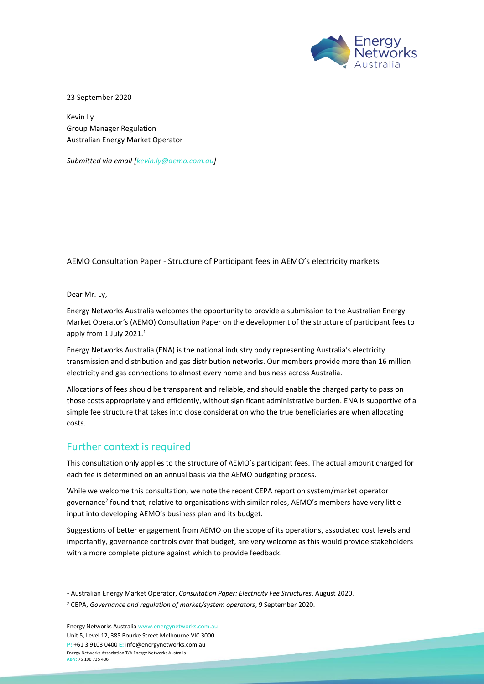

23 September 2020

Kevin Ly Group Manager Regulation Australian Energy Market Operator

*Submitted via email [\[kevin.ly@aemo.com.au\]](mailto:kevin.ly@aemo.com.au)* 

AEMO Consultation Paper - Structure of Participant fees in AEMO's electricity markets

Dear Mr. Ly,

Energy Networks Australia welcomes the opportunity to provide a submission to the Australian Energy Market Operator's (AEMO) Consultation Paper on the development of the structure of participant fees to apply from 1 July 2021.<sup>1</sup>

Energy Networks Australia (ENA) is the national industry body representing Australia's electricity transmission and distribution and gas distribution networks. Our members provide more than 16 million electricity and gas connections to almost every home and business across Australia.

Allocations of fees should be transparent and reliable, and should enable the charged party to pass on those costs appropriately and efficiently, without significant administrative burden. ENA is supportive of a simple fee structure that takes into close consideration who the true beneficiaries are when allocating costs.

### Further context is required

This consultation only applies to the structure of AEMO's participant fees. The actual amount charged for each fee is determined on an annual basis via the AEMO budgeting process.

While we welcome this consultation, we note the recent CEPA report on system/market operator governance<sup>2</sup> found that, relative to organisations with similar roles, AEMO's members have very little input into developing AEMO's business plan and its budget.

Suggestions of better engagement from AEMO on the scope of its operations, associated cost levels and importantly, governance controls over that budget, are very welcome as this would provide stakeholders with a more complete picture against which to provide feedback.

Energy Networks Australi[a www.energynetworks.com.au](http://www.energynetworks.com.au/) Unit 5, Level 12, 385 Bourke Street Melbourne VIC 3000 **P:** +61 3 9103 0400 **E:** [info@energynetworks.com.au](mailto:info@energynetworks.com.au) Energy Networks Association T/A Energy Networks Australia **ABN:** 75 106 735 406

<sup>1</sup> Australian Energy Market Operator, *Consultation Paper: Electricity Fee Structures*, August 2020.

<sup>2</sup> CEPA, *Governance and regulation of market/system operators*, 9 September 2020.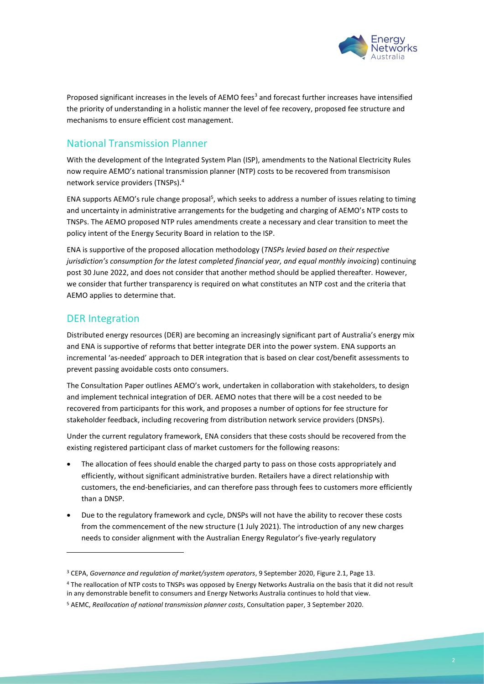

Proposed significant increases in the levels of AEMO fees<sup>3</sup> and forecast further increases have intensified the priority of understanding in a holistic manner the level of fee recovery, proposed fee structure and mechanisms to ensure efficient cost management.

## National Transmission Planner

With the development of the Integrated System Plan (ISP), amendments to the National Electricity Rules now require AEMO's national transmission planner (NTP) costs to be recovered from transmisison network service providers (TNSPs).<sup>4</sup>

ENA supports AEMO's rule change proposal<sup>5</sup>, which seeks to address a number of issues relating to timing and uncertainty in administrative arrangements for the budgeting and charging of AEMO's NTP costs to TNSPs. The AEMO proposed NTP rules amendments create a necessary and clear transition to meet the policy intent of the Energy Security Board in relation to the ISP.

ENA is supportive of the proposed allocation methodology (*TNSPs levied based on their respective jurisdiction's consumption for the latest completed financial year, and equal monthly invoicing*) continuing post 30 June 2022, and does not consider that another method should be applied thereafter. However, we consider that further transparency is required on what constitutes an NTP cost and the criteria that AEMO applies to determine that.

## DER Integration

Distributed energy resources (DER) are becoming an increasingly significant part of Australia's energy mix and ENA is supportive of reforms that better integrate DER into the power system. ENA supports an incremental 'as-needed' approach to DER integration that is based on clear cost/benefit assessments to prevent passing avoidable costs onto consumers.

The Consultation Paper outlines AEMO's work, undertaken in collaboration with stakeholders, to design and implement technical integration of DER. AEMO notes that there will be a cost needed to be recovered from participants for this work, and proposes a number of options for fee structure for stakeholder feedback, including recovering from distribution network service providers (DNSPs).

Under the current regulatory framework, ENA considers that these costs should be recovered from the existing registered participant class of market customers for the following reasons:

- The allocation of fees should enable the charged party to pass on those costs appropriately and efficiently, without significant administrative burden. Retailers have a direct relationship with customers, the end-beneficiaries, and can therefore pass through fees to customers more efficiently than a DNSP.
- Due to the regulatory framework and cycle, DNSPs will not have the ability to recover these costs from the commencement of the new structure (1 July 2021). The introduction of any new charges needs to consider alignment with the Australian Energy Regulator's five-yearly regulatory

<sup>4</sup> The reallocation of NTP costs to TNSPs was opposed by Energy Networks Australia on the basis that it did not result in any demonstrable benefit to consumers and Energy Networks Australia continues to hold that view.

<sup>3</sup> CEPA, *Governance and regulation of market/system operators*, 9 September 2020, Figure 2.1, Page 13.

<sup>5</sup> AEMC, *Reallocation of national transmission planner costs*, Consultation paper, 3 September 2020.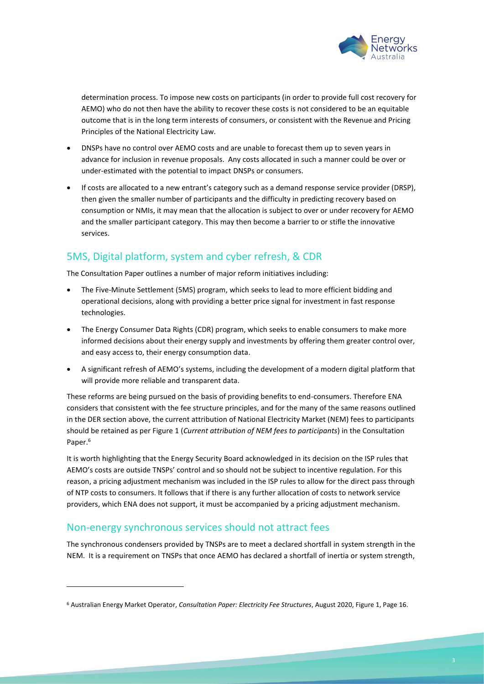

determination process. To impose new costs on participants (in order to provide full cost recovery for AEMO) who do not then have the ability to recover these costs is not considered to be an equitable outcome that is in the long term interests of consumers, or consistent with the Revenue and Pricing Principles of the National Electricity Law.

- DNSPs have no control over AEMO costs and are unable to forecast them up to seven years in advance for inclusion in revenue proposals. Any costs allocated in such a manner could be over or under-estimated with the potential to impact DNSPs or consumers.
- If costs are allocated to a new entrant's category such as a demand response service provider (DRSP), then given the smaller number of participants and the difficulty in predicting recovery based on consumption or NMIs, it may mean that the allocation is subject to over or under recovery for AEMO and the smaller participant category. This may then become a barrier to or stifle the innovative services.

# 5MS, Digital platform, system and cyber refresh, & CDR

The Consultation Paper outlines a number of major reform initiatives including:

- The Five-Minute Settlement (5MS) program, which seeks to lead to more efficient bidding and operational decisions, along with providing a better price signal for investment in fast response technologies.
- The Energy Consumer Data Rights (CDR) program, which seeks to enable consumers to make more informed decisions about their energy supply and investments by offering them greater control over, and easy access to, their energy consumption data.
- A significant refresh of AEMO's systems, including the development of a modern digital platform that will provide more reliable and transparent data.

These reforms are being pursued on the basis of providing benefits to end-consumers. Therefore ENA considers that consistent with the fee structure principles, and for the many of the same reasons outlined in the DER section above, the current attribution of National Electricity Market (NEM) fees to participants should be retained as per Figure 1 (*Current attribution of NEM fees to participants*) in the Consultation Paper.<sup>6</sup>

It is worth highlighting that the Energy Security Board acknowledged in its decision on the ISP rules that AEMO's costs are outside TNSPs' control and so should not be subject to incentive regulation. For this reason, a pricing adjustment mechanism was included in the ISP rules to allow for the direct pass through of NTP costs to consumers. It follows that if there is any further allocation of costs to network service providers, which ENA does not support, it must be accompanied by a pricing adjustment mechanism.

## Non-energy synchronous services should not attract fees

The synchronous condensers provided by TNSPs are to meet a declared shortfall in system strength in the NEM. It is a requirement on TNSPs that once AEMO has declared a shortfall of inertia or system strength,

<sup>6</sup> Australian Energy Market Operator, *Consultation Paper: Electricity Fee Structures*, August 2020, Figure 1, Page 16.